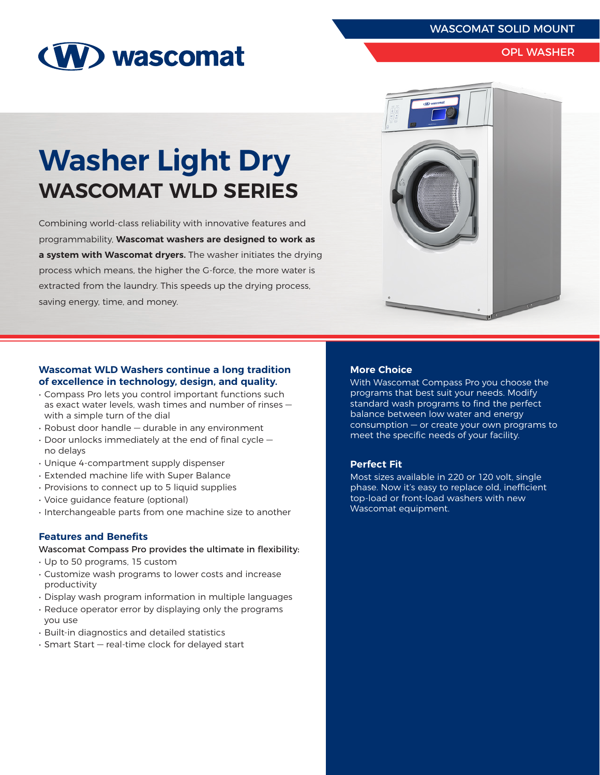# WASCOMAT SOLID MOUNT



# OPL WASHER

# **Washer Light Dry WASCOMAT WLD SERIES**

Combining world-class reliability with innovative features and programmability, **Wascomat washers are designed to work as a system with Wascomat dryers.** The washer initiates the drying process which means, the higher the G-force, the more water is extracted from the laundry. This speeds up the drying process, saving energy, time, and money.



## **Wascomat WLD Washers continue a long tradition of excellence in technology, design, and quality.**

- Compass Pro lets you control important functions such as exact water levels, wash times and number of rinses with a simple turn of the dial
- Robust door handle durable in any environment
- Door unlocks immediately at the end of final cycle no delays
- Unique 4-compartment supply dispenser
- Extended machine life with Super Balance
- Provisions to connect up to 5 liquid supplies
- Voice guidance feature (optional)
- Interchangeable parts from one machine size to another

#### **Features and Benefits**

- Wascomat Compass Pro provides the ultimate in flexibility:
- Up to 50 programs, 15 custom
- Customize wash programs to lower costs and increase productivity
- Display wash program information in multiple languages
- Reduce operator error by displaying only the programs you use
- Built-in diagnostics and detailed statistics
- Smart Start real-time clock for delayed start

#### **More Choice**

With Wascomat Compass Pro you choose the programs that best suit your needs. Modify standard wash programs to find the perfect balance between low water and energy consumption — or create your own programs to meet the specific needs of your facility.

#### **Perfect Fit**

Most sizes available in 220 or 120 volt, single phase. Now it's easy to replace old, inefficient top-load or front-load washers with new Wascomat equipment.